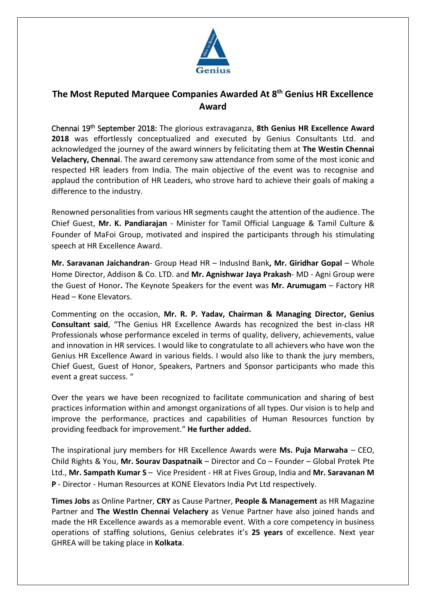

## **The Most Reputed Marquee Companies Awarded At 8 th Genius HR Excellence Award**

Chennai 19th September 2018: The glorious extravaganza, **8th Genius HR Excellence Award 2018** was effortlessly conceptualized and executed by Genius Consultants Ltd. and acknowledged the journey of the award winners by felicitating them at **The Westin Chennai Velachery, Chennai**. The award ceremony saw attendance from some of the most iconic and respected HR leaders from India. The main objective of the event was to recognise and applaud the contribution of HR Leaders, who strove hard to achieve their goals of making a difference to the industry.

Renowned personalities from various HR segments caught the attention of the audience. The Chief Guest, **Mr. K. Pandiarajan** - Minister for Tamil Official Language & Tamil Culture & Founder of MaFoi Group, motivated and inspired the participants through his stimulating speech at HR Excellence Award.

**Mr. Saravanan Jaichandran**- Group Head HR – IndusInd Bank**, Mr. Giridhar Gopal** – Whole Home Director, Addison & Co. LTD. and **Mr. Agnishwar Jaya Prakash**- MD - Agni Group were the Guest of Honor**.** The Keynote Speakers for the event was **Mr. Arumugam** – Factory HR Head – Kone Elevators.

Commenting on the occasion, **Mr. R. P. Yadav, Chairman & Managing Director, Genius Consultant said**, "The Genius HR Excellence Awards has recognized the best in-class HR Professionals whose performance exceled in terms of quality, delivery, achievements, value and innovation in HR services. I would like to congratulate to all achievers who have won the Genius HR Excellence Award in various fields. I would also like to thank the jury members, Chief Guest, Guest of Honor, Speakers, Partners and Sponsor participants who made this event a great success. "

Over the years we have been recognized to facilitate communication and sharing of best practices information within and amongst organizations of all types. Our vision is to help and improve the performance, practices and capabilities of Human Resources function by providing feedback for improvement." **He further added.**

The inspirational jury members for HR Excellence Awards were **Ms. Puja Marwaha** – CEO, Child Rights & You, **Mr. Sourav Daspatnaik** – Director and Co – Founder – Global Protek Pte Ltd., **Mr. Sampath Kumar S** – Vice President - HR at Fives Group, India and **Mr. Saravanan M P** - Director - Human Resources at KONE Elevators India Pvt Ltd respectively.

**Times Jobs** as Online Partner, **CRY** as Cause Partner, **People & Management** as HR Magazine Partner and **The WestIn Chennai Velachery** as Venue Partner have also joined hands and made the HR Excellence awards as a memorable event. With a core competency in business operations of staffing solutions, Genius celebrates it's **25 years** of excellence. Next year GHREA will be taking place in **Kolkata**.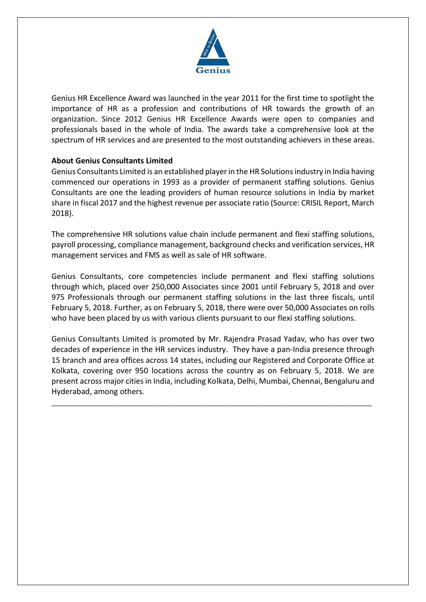

Genius HR Excellence Award was launched in the year 2011 for the first time to spotlight the importance of HR as a profession and contributions of HR towards the growth of an organization. Since 2012 Genius HR Excellence Awards were open to companies and professionals based in the whole of India. The awards take a comprehensive look at the spectrum of HR services and are presented to the most outstanding achievers in these areas.

#### **About Genius Consultants Limited**

Genius Consultants Limited is an established player in the HR Solutions industry in India having commenced our operations in 1993 as a provider of permanent staffing solutions. Genius Consultants are one the leading providers of human resource solutions in India by market share in fiscal 2017 and the highest revenue per associate ratio (Source: CRISIL Report, March 2018).

The comprehensive HR solutions value chain include permanent and flexi staffing solutions, payroll processing, compliance management, background checks and verification services, HR management services and FMS as well as sale of HR software.

Genius Consultants, core competencies include permanent and flexi staffing solutions through which, placed over 250,000 Associates since 2001 until February 5, 2018 and over 975 Professionals through our permanent staffing solutions in the last three fiscals, until February 5, 2018. Further, as on February 5, 2018, there were over 50,000 Associates on rolls who have been placed by us with various clients pursuant to our flexi staffing solutions.

Genius Consultants Limited is promoted by Mr. Rajendra Prasad Yadav, who has over two decades of experience in the HR services industry. They have a pan-India presence through 15 branch and area offices across 14 states, including our Registered and Corporate Office at Kolkata, covering over 950 locations across the country as on February 5, 2018. We are present across major cities in India, including Kolkata, Delhi, Mumbai, Chennai, Bengaluru and Hyderabad, among others.

\_\_\_\_\_\_\_\_\_\_\_\_\_\_\_\_\_\_\_\_\_\_\_\_\_\_\_\_\_\_\_\_\_\_\_\_\_\_\_\_\_\_\_\_\_\_\_\_\_\_\_\_\_\_\_\_\_\_\_\_\_\_\_\_\_\_\_\_\_\_\_\_\_\_\_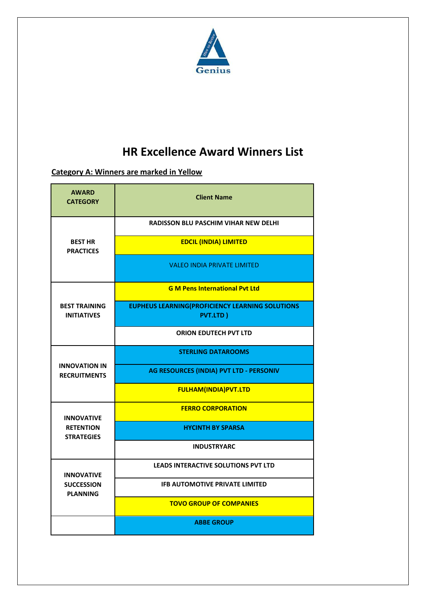

# **HR Excellence Award Winners List**

# **Category A: Winners are marked in Yellow**

| <b>AWARD</b><br><b>CATEGORY</b>                            | <b>Client Name</b>                                                        |
|------------------------------------------------------------|---------------------------------------------------------------------------|
| <b>BEST HR</b><br><b>PRACTICES</b>                         | <b>RADISSON BLU PASCHIM VIHAR NEW DELHI</b>                               |
|                                                            | <b>EDCIL (INDIA) LIMITED</b>                                              |
|                                                            | <b>VALEO INDIA PRIVATE LIMITED</b>                                        |
| <b>BEST TRAINING</b><br><b>INITIATIVES</b>                 | <b>G M Pens International Pyt Ltd</b>                                     |
|                                                            | <b>EUPHEUS LEARNING(PROFICIENCY LEARNING SOLUTIONS</b><br><b>PVT.LTD)</b> |
|                                                            | <b>ORION EDUTECH PVT LTD</b>                                              |
| <b>INNOVATION IN</b><br><b>RECRUITMENTS</b>                | <b>STERLING DATAROOMS</b>                                                 |
|                                                            | AG RESOURCES (INDIA) PVT LTD - PERSONIV                                   |
|                                                            | <b>FULHAM(INDIA)PVT.LTD</b>                                               |
| <b>INNOVATIVE</b><br><b>RETENTION</b><br><b>STRATEGIES</b> | <b>FERRO CORPORATION</b>                                                  |
|                                                            | <b>HYCINTH BY SPARSA</b>                                                  |
|                                                            | <b>INDUSTRYARC</b>                                                        |
| <b>INNOVATIVE</b><br><b>SUCCESSION</b><br><b>PLANNING</b>  | <b>LEADS INTERACTIVE SOLUTIONS PVT LTD</b>                                |
|                                                            | <b>IFB AUTOMOTIVE PRIVATE LIMITED</b>                                     |
|                                                            | <b>TOVO GROUP OF COMPANIES</b>                                            |
|                                                            | <b>ABBE GROUP</b>                                                         |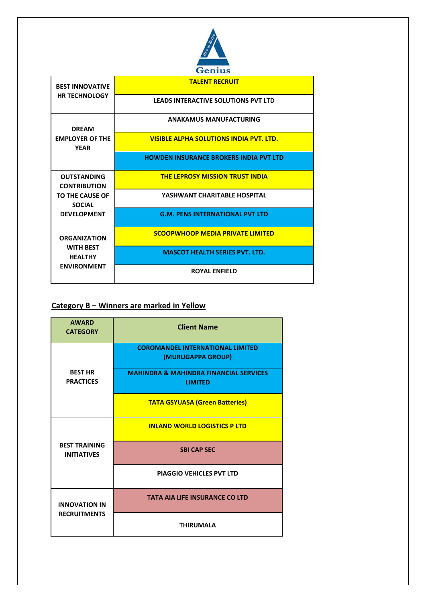

| <b>BEST INNOVATIVE</b><br><b>HR TECHNOLOGY</b>                                                      | <b>TALENT RECRUIT</b>                          |
|-----------------------------------------------------------------------------------------------------|------------------------------------------------|
|                                                                                                     | <b>LEADS INTERACTIVE SOLUTIONS PVT LTD</b>     |
| <b>DREAM</b><br><b>EMPLOYER OF THE</b><br><b>YEAR</b>                                               | <b>ANAKAMUS MANUFACTURING</b>                  |
|                                                                                                     | <b>VISIBLE ALPHA SOLUTIONS INDIA PVT. LTD.</b> |
|                                                                                                     | <b>HOWDEN INSURANCE BROKERS INDIA PVT LTD</b>  |
| <b>OUTSTANDING</b><br><b>CONTRIBUTION</b><br>TO THE CAUSE OF<br><b>SOCIAL</b><br><b>DEVELOPMENT</b> | <b>THE LEPROSY MISSION TRUST INDIA</b>         |
|                                                                                                     | YASHWANT CHARITABLE HOSPITAL                   |
|                                                                                                     | <b>G.M. PENS INTERNATIONAL PVT LTD</b>         |
| <b>ORGANIZATION</b><br><b>WITH BEST</b><br><b>HEALTHY</b><br><b>ENVIRONMENT</b>                     | <b>SCOOPWHOOP MEDIA PRIVATE LIMITED</b>        |
|                                                                                                     | <b>MASCOT HEALTH SERIES PVT. LTD.</b>          |
|                                                                                                     | <b>ROYAL ENFIELD</b>                           |

### **Category B – Winners are marked in Yellow**

| <b>AWARD</b><br><b>CATEGORY</b>             | <b>Client Name</b>                                                  |
|---------------------------------------------|---------------------------------------------------------------------|
| <b>BEST HR</b><br><b>PRACTICES</b>          | <b>COROMANDEL INTERNATIONAL LIMITED</b><br>(MURUGAPPA GROUP)        |
|                                             | <b>MAHINDRA &amp; MAHINDRA FINANCIAL SERVICES</b><br><b>LIMITED</b> |
|                                             | <b>TATA GSYUASA (Green Batteries)</b>                               |
| <b>BEST TRAINING</b><br><b>INITIATIVES</b>  | <b>INLAND WORLD LOGISTICS P LTD</b>                                 |
|                                             | <b>SBI CAP SEC</b>                                                  |
|                                             | <b>PIAGGIO VEHICLES PVT LTD</b>                                     |
| <b>INNOVATION IN</b><br><b>RECRUITMENTS</b> | <b>TATA AIA LIFE INSURANCE CO LTD</b>                               |
|                                             | <b>THIRUMALA</b>                                                    |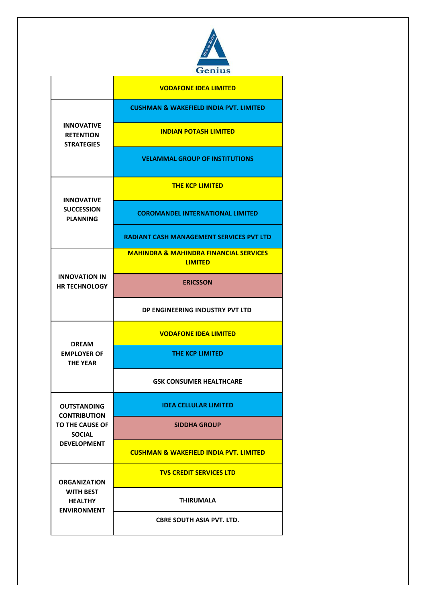

|                                                                                                     | <b>VODAFONE IDEA LIMITED</b>                                        |
|-----------------------------------------------------------------------------------------------------|---------------------------------------------------------------------|
| <b>INNOVATIVE</b><br><b>RETENTION</b><br><b>STRATEGIES</b>                                          | <b>CUSHMAN &amp; WAKEFIELD INDIA PVT. LIMITED</b>                   |
|                                                                                                     | <b>INDIAN POTASH LIMITED</b>                                        |
|                                                                                                     | <b>VELAMMAL GROUP OF INSTITUTIONS</b>                               |
| <b>INNOVATIVE</b><br><b>SUCCESSION</b><br><b>PLANNING</b>                                           | <b>THE KCP LIMITED</b>                                              |
|                                                                                                     | <b>COROMANDEL INTERNATIONAL LIMITED</b>                             |
|                                                                                                     | RADIANT CASH MANAGEMENT SERVICES PVT LTD                            |
| <b>INNOVATION IN</b><br><b>HR TECHNOLOGY</b>                                                        | <b>MAHINDRA &amp; MAHINDRA FINANCIAL SERVICES</b><br><b>LIMITED</b> |
|                                                                                                     | <b>ERICSSON</b>                                                     |
|                                                                                                     | DP ENGINEERING INDUSTRY PVT LTD                                     |
| <b>DREAM</b><br><b>EMPLOYER OF</b><br><b>THE YEAR</b>                                               | <b>VODAFONE IDEA LIMITED</b>                                        |
|                                                                                                     | THE KCP LIMITED                                                     |
|                                                                                                     | <b>GSK CONSUMER HEALTHCARE</b>                                      |
| <b>OUTSTANDING</b><br><b>CONTRIBUTION</b><br>TO THE CAUSE OF<br><b>SOCIAL</b><br><b>DEVELOPMENT</b> | <b>IDEA CELLULAR LIMITED</b>                                        |
|                                                                                                     | <b>SIDDHA GROUP</b>                                                 |
|                                                                                                     | <b>CUSHMAN &amp; WAKEFIELD INDIA PVT. LIMITED</b>                   |
| <b>ORGANIZATION</b><br><b>WITH BEST</b><br><b>HEALTHY</b><br><b>ENVIRONMENT</b>                     | <b>TVS CREDIT SERVICES LTD</b>                                      |
|                                                                                                     | <b>THIRUMALA</b>                                                    |
|                                                                                                     | <b>CBRE SOUTH ASIA PVT. LTD.</b>                                    |